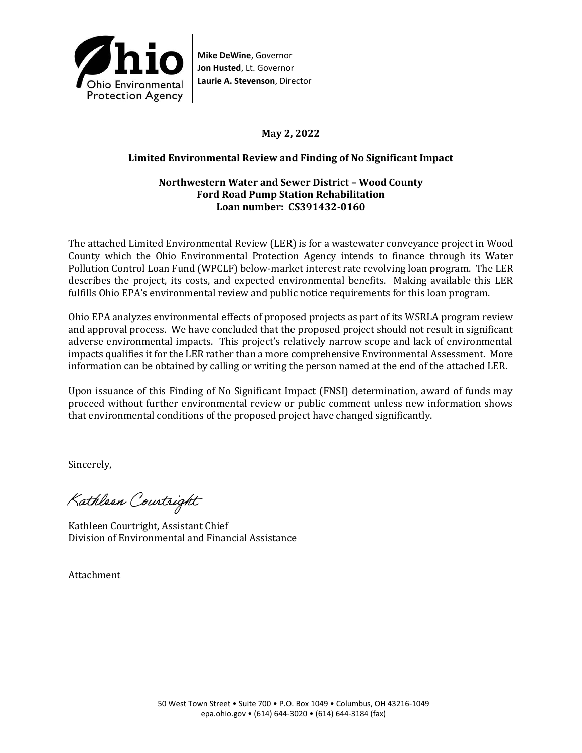

**Mike DeWine**, Governor **Jon Husted**, Lt. Governor **Laurie A. Stevenson**, Director

# **May 2, 2022**

### **Limited Environmental Review and Finding of No Significant Impact**

### **Northwestern Water and Sewer District – Wood County Ford Road Pump Station Rehabilitation Loan number: CS391432-0160**

The attached Limited Environmental Review (LER) is for a wastewater conveyance project in Wood County which the Ohio Environmental Protection Agency intends to finance through its Water Pollution Control Loan Fund (WPCLF) below-market interest rate revolving loan program. The LER describes the project, its costs, and expected environmental benefits. Making available this LER fulfills Ohio EPA's environmental review and public notice requirements for this loan program.

Ohio EPA analyzes environmental effects of proposed projects as part of its WSRLA program review and approval process. We have concluded that the proposed project should not result in significant adverse environmental impacts. This project's relatively narrow scope and lack of environmental impacts qualifies it for the LER rather than a more comprehensive Environmental Assessment. More information can be obtained by calling or writing the person named at the end of the attached LER.

Upon issuance of this Finding of No Significant Impact (FNSI) determination, award of funds may proceed without further environmental review or public comment unless new information shows that environmental conditions of the proposed project have changed significantly.

Sincerely,

Kathleen Courtright

Kathleen Courtright, Assistant Chief Division of Environmental and Financial Assistance

Attachment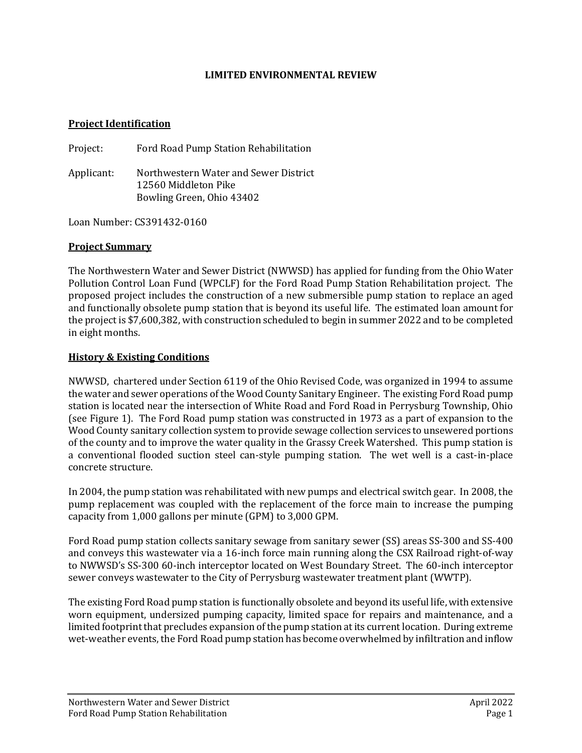### **LIMITED ENVIRONMENTAL REVIEW**

#### **Project Identification**

Project: Ford Road Pump Station Rehabilitation

Applicant: Northwestern Water and Sewer District 12560 Middleton Pike Bowling Green, Ohio 43402

Loan Number: CS391432-0160

#### **Project Summary**

The Northwestern Water and Sewer District (NWWSD) has applied for funding from the Ohio Water Pollution Control Loan Fund (WPCLF) for the Ford Road Pump Station Rehabilitation project. The proposed project includes the construction of a new submersible pump station to replace an aged and functionally obsolete pump station that is beyond its useful life. The estimated loan amount for the project is \$7,600,382, with construction scheduled to begin in summer 2022 and to be completed in eight months.

#### **History & Existing Conditions**

NWWSD, chartered under Section 6119 of the Ohio Revised Code, was organized in 1994 to assume the water and sewer operations of the Wood County Sanitary Engineer. The existing Ford Road pump station is located near the intersection of White Road and Ford Road in Perrysburg Township, Ohio (see Figure 1). The Ford Road pump station was constructed in 1973 as a part of expansion to the Wood County sanitary collection system to provide sewage collection services to unsewered portions of the county and to improve the water quality in the Grassy Creek Watershed. This pump station is a conventional flooded suction steel can-style pumping station. The wet well is a cast-in-place concrete structure.

In 2004, the pump station was rehabilitated with new pumps and electrical switch gear. In 2008, the pump replacement was coupled with the replacement of the force main to increase the pumping capacity from 1,000 gallons per minute (GPM) to 3,000 GPM.

Ford Road pump station collects sanitary sewage from sanitary sewer (SS) areas SS-300 and SS-400 and conveys this wastewater via a 16-inch force main running along the CSX Railroad right-of-way to NWWSD's SS-300 60-inch interceptor located on West Boundary Street. The 60-inch interceptor sewer conveys wastewater to the City of Perrysburg wastewater treatment plant (WWTP).

The existing Ford Road pump station is functionally obsolete and beyond its useful life, with extensive worn equipment, undersized pumping capacity, limited space for repairs and maintenance, and a limited footprint that precludes expansion of the pump station at its current location. During extreme wet-weather events, the Ford Road pump station has become overwhelmed by infiltration and inflow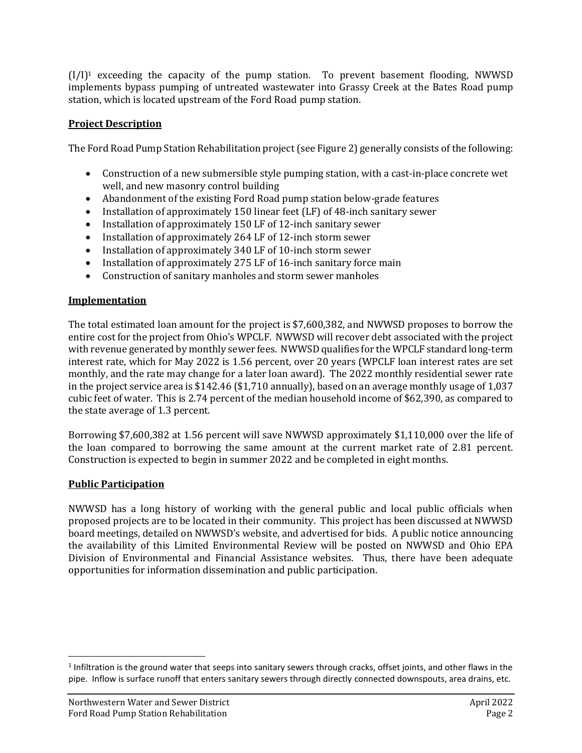$(I/I)^1$  exceeding the capacity of the pump station. To prevent basement flooding, NWWSD implements bypass pumping of untreated wastewater into Grassy Creek at the Bates Road pump station, which is located upstream of the Ford Road pump station.

# **Project Description**

The Ford Road Pump Station Rehabilitation project (see Figure 2) generally consists of the following:

- Construction of a new submersible style pumping station, with a cast-in-place concrete wet well, and new masonry control building
- Abandonment of the existing Ford Road pump station below-grade features
- Installation of approximately 150 linear feet (LF) of 48-inch sanitary sewer
- Installation of approximately 150 LF of 12-inch sanitary sewer
- Installation of approximately 264 LF of 12-inch storm sewer
- Installation of approximately 340 LF of 10-inch storm sewer
- Installation of approximately 275 LF of 16-inch sanitary force main
- Construction of sanitary manholes and storm sewer manholes

# **Implementation**

The total estimated loan amount for the project is \$7,600,382, and NWWSD proposes to borrow the entire cost for the project from Ohio's WPCLF. NWWSD will recover debt associated with the project with revenue generated by monthly sewer fees. NWWSD qualifies for the WPCLF standard long-term interest rate, which for May 2022 is 1.56 percent, over 20 years (WPCLF loan interest rates are set monthly, and the rate may change for a later loan award). The 2022 monthly residential sewer rate in the project service area is \$142.46 (\$1,710 annually), based on an average monthly usage of 1,037 cubic feet of water. This is 2.74 percent of the median household income of \$62,390, as compared to the state average of 1.3 percent.

Borrowing \$7,600,382 at 1.56 percent will save NWWSD approximately \$1,110,000 over the life of the loan compared to borrowing the same amount at the current market rate of 2.81 percent. Construction is expected to begin in summer 2022 and be completed in eight months.

### **Public Participation**

NWWSD has a long history of working with the general public and local public officials when proposed projects are to be located in their community. This project has been discussed at NWWSD board meetings, detailed on NWWSD's website, and advertised for bids. A public notice announcing the availability of this Limited Environmental Review will be posted on NWWSD and Ohio EPA Division of Environmental and Financial Assistance websites. Thus, there have been adequate opportunities for information dissemination and public participation.

 $1$ Infiltration is the ground water that seeps into sanitary sewers through cracks, offset joints, and other flaws in the pipe. Inflow is surface runoff that enters sanitary sewers through directly connected downspouts, area drains, etc.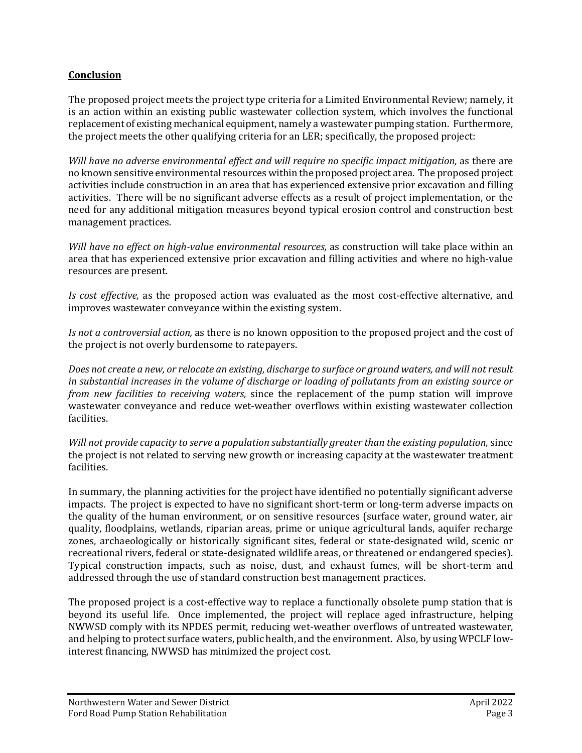# **Conclusion**

The proposed project meets the project type criteria for a Limited Environmental Review; namely, it is an action within an existing public wastewater collection system, which involves the functional replacement of existing mechanical equipment, namely a wastewater pumping station. Furthermore, the project meets the other qualifying criteria for an LER; specifically, the proposed project:

*Will have no adverse environmental effect and will require no specific impact mitigation,* as there are no known sensitive environmental resources within the proposed project area. The proposed project activities include construction in an area that has experienced extensive prior excavation and filling activities. There will be no significant adverse effects as a result of project implementation, or the need for any additional mitigation measures beyond typical erosion control and construction best management practices.

*Will have no effect on high-value environmental resources,* as construction will take place within an area that has experienced extensive prior excavation and filling activities and where no high-value resources are present.

*Is cost effective,* as the proposed action was evaluated as the most cost-effective alternative, and improves wastewater conveyance within the existing system.

*Is not a controversial action,* as there is no known opposition to the proposed project and the cost of the project is not overly burdensome to ratepayers.

*Does not create a new, or relocate an existing, discharge to surface or ground waters, and will not result in substantial increases in the volume of discharge or loading of pollutants from an existing source or from new facilities to receiving waters,* since the replacement of the pump station will improve wastewater conveyance and reduce wet-weather overflows within existing wastewater collection facilities.

*Will not provide capacity to serve a population substantially greater than the existing population,* since the project is not related to serving new growth or increasing capacity at the wastewater treatment facilities.

In summary, the planning activities for the project have identified no potentially significant adverse impacts. The project is expected to have no significant short-term or long-term adverse impacts on the quality of the human environment, or on sensitive resources (surface water, ground water, air quality, floodplains, wetlands, riparian areas, prime or unique agricultural lands, aquifer recharge zones, archaeologically or historically significant sites, federal or state-designated wild, scenic or recreational rivers, federal or state-designated wildlife areas, or threatened or endangered species). Typical construction impacts, such as noise, dust, and exhaust fumes, will be short-term and addressed through the use of standard construction best management practices.

The proposed project is a cost-effective way to replace a functionally obsolete pump station that is beyond its useful life. Once implemented, the project will replace aged infrastructure, helping NWWSD comply with its NPDES permit, reducing wet-weather overflows of untreated wastewater, and helping to protect surface waters, public health, and the environment. Also, by using WPCLF lowinterest financing, NWWSD has minimized the project cost.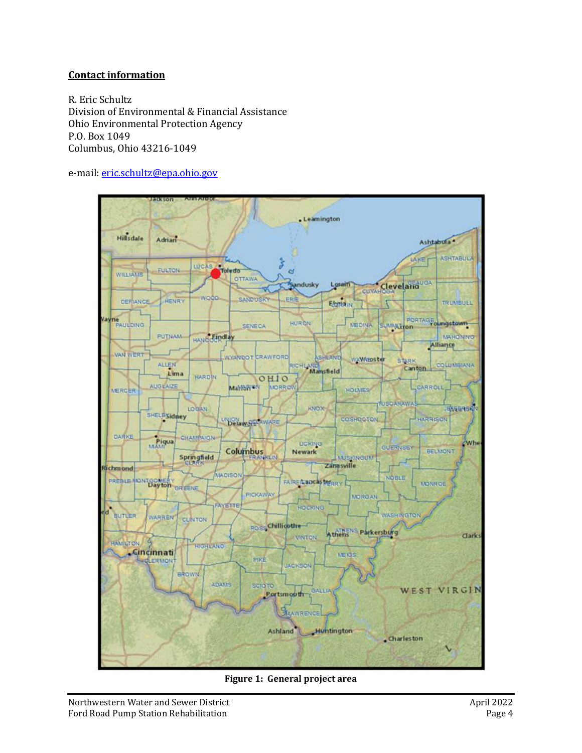### **Contact information**

R. Eric Schultz Division of Environmental & Financial Assistance Ohio Environmental Protection Agency P.O. Box 1049 Columbus, Ohio 43216-1049

e-mail: [eric.schultz@epa.ohio.gov](mailto:eric.schultz@epa.ohio.gov)



**Figure 1: General project area**